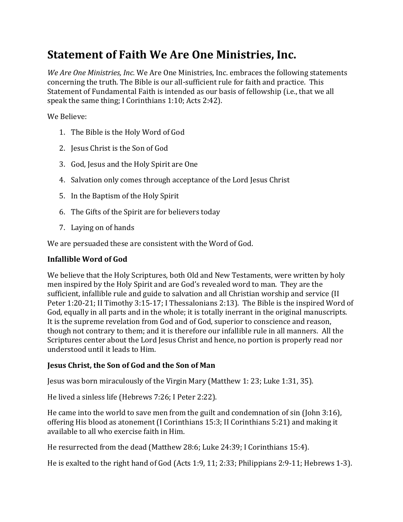# **Statement of Faith We Are One Ministries, Inc.**

*We Are One Ministries, Inc.* We Are One Ministries, Inc. embraces the following statements concerning the truth. The Bible is our all-sufficient rule for faith and practice. This Statement of Fundamental Faith is intended as our basis of fellowship (i.e., that we all speak the same thing; I Corinthians 1:10; Acts 2:42).

We Believe:

- 1. The Bible is the Holy Word of God
- 2. Jesus Christ is the Son of God
- 3. God, Jesus and the Holy Spirit are One
- 4. Salvation only comes through acceptance of the Lord Jesus Christ
- 5. In the Baptism of the Holy Spirit
- 6. The Gifts of the Spirit are for believers today
- 7. Laying on of hands

We are persuaded these are consistent with the Word of God.

### **Infallible Word of God**

We believe that the Holy Scriptures, both Old and New Testaments, were written by holy men inspired by the Holy Spirit and are God's revealed word to man. They are the sufficient, infallible rule and guide to salvation and all Christian worship and service (II Peter 1:20-21; II Timothy 3:15-17; I Thessalonians 2:13). The Bible is the inspired Word of God, equally in all parts and in the whole; it is totally inerrant in the original manuscripts. It is the supreme revelation from God and of God, superior to conscience and reason, though not contrary to them; and it is therefore our infallible rule in all manners. All the Scriptures center about the Lord Jesus Christ and hence, no portion is properly read nor understood until it leads to Him.

### **Jesus Christ, the Son of God and the Son of Man**

Jesus was born miraculously of the Virgin Mary (Matthew 1: 23; Luke 1:31, 35).

He lived a sinless life (Hebrews 7:26; I Peter 2:22).

He came into the world to save men from the guilt and condemnation of sin (John 3:16), offering His blood as atonement (I Corinthians 15:3; II Corinthians 5:21) and making it available to all who exercise faith in Him.

He resurrected from the dead (Matthew 28:6; Luke 24:39; I Corinthians 15:4).

He is exalted to the right hand of God (Acts 1:9, 11; 2:33; Philippians 2:9-11; Hebrews 1-3).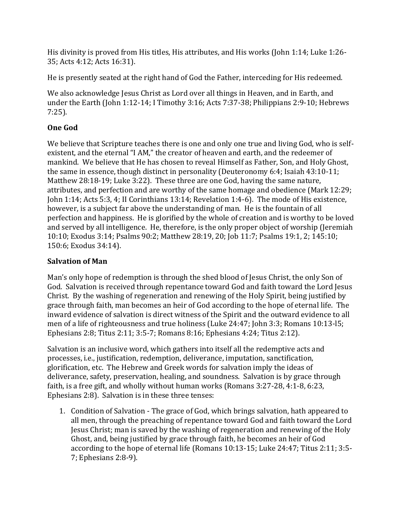His divinity is proved from His titles, His attributes, and His works (John 1:14; Luke 1:26- 35; Acts 4:12; Acts 16:31).

He is presently seated at the right hand of God the Father, interceding for His redeemed.

We also acknowledge Jesus Christ as Lord over all things in Heaven, and in Earth, and under the Earth (John 1:12-14; I Timothy 3:16; Acts 7:37-38; Philippians 2:9-10; Hebrews 7:25).

# **One God**

We believe that Scripture teaches there is one and only one true and living God, who is selfexistent, and the eternal "I AM," the creator of heaven and earth, and the redeemer of mankind. We believe that He has chosen to reveal Himself as Father, Son, and Holy Ghost, the same in essence, though distinct in personality (Deuteronomy 6:4; Isaiah 43:10-11; Matthew 28:18-19; Luke 3:22). These three are one God, having the same nature, attributes, and perfection and are worthy of the same homage and obedience (Mark 12:29; John 1:14; Acts 5:3, 4; II Corinthians 13:14; Revelation 1:4-6). The mode of His existence, however, is a subject far above the understanding of man. He is the fountain of all perfection and happiness. He is glorified by the whole of creation and is worthy to be loved and served by all intelligence. He, therefore, is the only proper object of worship (Jeremiah 10:10; Exodus 3:14; Psalms 90:2; Matthew 28:19, 20; Job 11:7; Psalms 19:1, 2; 145:10; 150:6; Exodus 34:14).

# **Salvation of Man**

Man's only hope of redemption is through the shed blood of Jesus Christ, the only Son of God. Salvation is received through repentance toward God and faith toward the Lord Jesus Christ. By the washing of regeneration and renewing of the Holy Spirit, being justified by grace through faith, man becomes an heir of God according to the hope of eternal life. The inward evidence of salvation is direct witness of the Spirit and the outward evidence to all men of a life of righteousness and true holiness (Luke 24:47; John 3:3; Romans 10:13-l5; Ephesians 2:8; Titus 2:11; 3:5-7; Romans 8:16; Ephesians 4:24; Titus 2:12).

Salvation is an inclusive word, which gathers into itself all the redemptive acts and processes, i.e., justification, redemption, deliverance, imputation, sanctification, glorification, etc. The Hebrew and Greek words for salvation imply the ideas of deliverance, safety, preservation, healing, and soundness. Salvation is by grace through faith, is a free gift, and wholly without human works (Romans 3:27-28, 4:1-8, 6:23, Ephesians 2:8). Salvation is in these three tenses:

1. Condition of Salvation - The grace of God, which brings salvation, hath appeared to all men, through the preaching of repentance toward God and faith toward the Lord Jesus Christ; man is saved by the washing of regeneration and renewing of the Holy Ghost, and, being justified by grace through faith, he becomes an heir of God according to the hope of eternal life (Romans 10:13-15; Luke 24:47; Titus 2:11; 3:5- 7; Ephesians 2:8-9).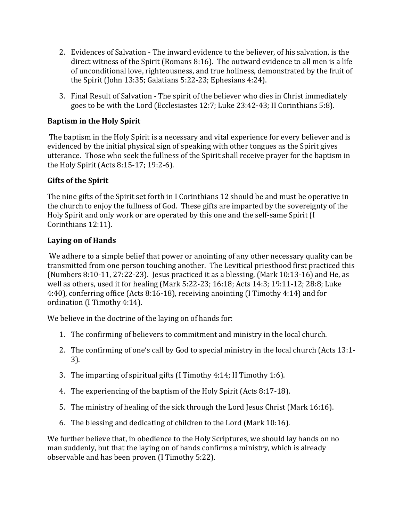- 2. Evidences of Salvation The inward evidence to the believer, of his salvation, is the direct witness of the Spirit (Romans 8:16). The outward evidence to all men is a life of unconditional love, righteousness, and true holiness, demonstrated by the fruit of the Spirit (John 13:35; Galatians 5:22-23; Ephesians 4:24).
- 3. Final Result of Salvation The spirit of the believer who dies in Christ immediately goes to be with the Lord (Ecclesiastes 12:7; Luke 23:42-43; II Corinthians 5:8).

### **Baptism in the Holy Spirit**

The baptism in the Holy Spirit is a necessary and vital experience for every believer and is evidenced by the initial physical sign of speaking with other tongues as the Spirit gives utterance. Those who seek the fullness of the Spirit shall receive prayer for the baptism in the Holy Spirit (Acts 8:15-17; 19:2-6).

# **Gifts of the Spirit**

The nine gifts of the Spirit set forth in I Corinthians 12 should be and must be operative in the church to enjoy the fullness of God. These gifts are imparted by the sovereignty of the Holy Spirit and only work or are operated by this one and the self-same Spirit (I Corinthians 12:11).

# **Laying on of Hands**

We adhere to a simple belief that power or anointing of any other necessary quality can be transmitted from one person touching another. The Levitical priesthood first practiced this (Numbers 8:10-11, 27:22-23). Jesus practiced it as a blessing, (Mark 10:13-16) and He, as well as others, used it for healing (Mark 5:22-23; 16:18; Acts 14:3; 19:11-12; 28:8; Luke 4:40), conferring office (Acts 8:16-18), receiving anointing (I Timothy 4:14) and for ordination (I Timothy 4:14).

We believe in the doctrine of the laying on of hands for:

- 1. The confirming of believers to commitment and ministry in the local church.
- 2. The confirming of one's call by God to special ministry in the local church (Acts 13:1- 3).
- 3. The imparting of spiritual gifts (I Timothy 4:14; II Timothy 1:6).
- 4. The experiencing of the baptism of the Holy Spirit (Acts 8:17-18).
- 5. The ministry of healing of the sick through the Lord Jesus Christ (Mark 16:16).
- 6. The blessing and dedicating of children to the Lord (Mark 10:16).

We further believe that, in obedience to the Holy Scriptures, we should lay hands on no man suddenly, but that the laying on of hands confirms a ministry, which is already observable and has been proven (I Timothy 5:22).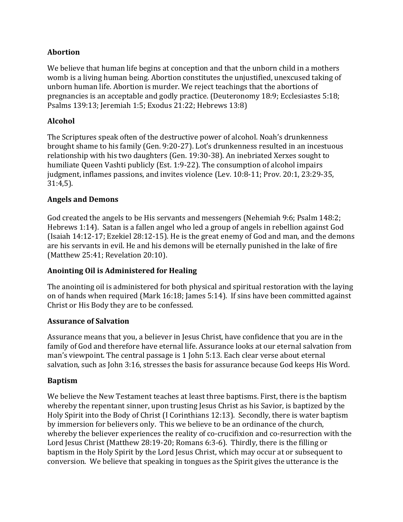### **Abortion**

We believe that human life begins at conception and that the unborn child in a mothers womb is a living human being. Abortion constitutes the unjustified, unexcused taking of unborn human life. Abortion is murder. We reject teachings that the abortions of pregnancies is an acceptable and godly practice. (Deuteronomy 18:9; Ecclesiastes 5:18; Psalms 139:13; Jeremiah 1:5; Exodus 21:22; Hebrews 13:8)

# **Alcohol**

The Scriptures speak often of the destructive power of alcohol. Noah's drunkenness brought shame to his family (Gen. 9:20-27). Lot's drunkenness resulted in an incestuous relationship with his two daughters (Gen. 19:30-38). An inebriated Xerxes sought to humiliate Queen Vashti publicly (Est. 1:9-22). The consumption of alcohol impairs judgment, inflames passions, and invites violence (Lev. 10:8-11; Prov. 20:1, 23:29-35, 31:4,5).

### **Angels and Demons**

God created the angels to be His servants and messengers (Nehemiah 9:6; Psalm 148:2; Hebrews 1:14). Satan is a fallen angel who led a group of angels in rebellion against God (Isaiah 14:12-17; Ezekiel 28:12-15). He is the great enemy of God and man, and the demons are his servants in evil. He and his demons will be eternally punished in the lake of fire (Matthew 25:41; Revelation 20:10).

### **Anointing Oil is Administered for Healing**

The anointing oil is administered for both physical and spiritual restoration with the laying on of hands when required (Mark 16:18; James 5:14). If sins have been committed against Christ or His Body they are to be confessed.

### **Assurance of Salvation**

Assurance means that you, a believer in Jesus Christ, have confidence that you are in the family of God and therefore have eternal life. Assurance looks at our eternal salvation from man's viewpoint. The central passage is 1 John 5:13. Each clear verse about eternal salvation, such as John 3:16, stresses the basis for assurance because God keeps His Word.

# **Baptism**

We believe the New Testament teaches at least three baptisms. First, there is the baptism whereby the repentant sinner, upon trusting Jesus Christ as his Savior, is baptized by the Holy Spirit into the Body of Christ (I Corinthians 12:13). Secondly, there is water baptism by immersion for believers only. This we believe to be an ordinance of the church, whereby the believer experiences the reality of co-crucifixion and co-resurrection with the Lord Jesus Christ (Matthew 28:19-20; Romans 6:3-6). Thirdly, there is the filling or baptism in the Holy Spirit by the Lord Jesus Christ, which may occur at or subsequent to conversion. We believe that speaking in tongues as the Spirit gives the utterance is the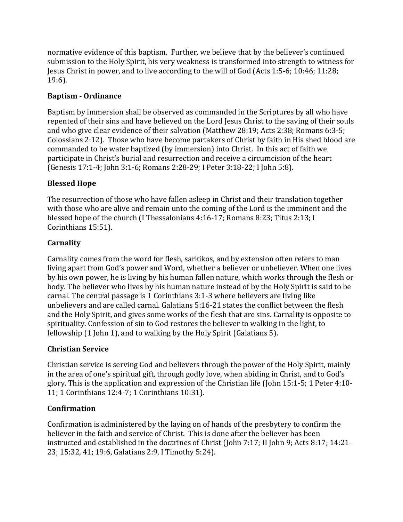normative evidence of this baptism. Further, we believe that by the believer's continued submission to the Holy Spirit, his very weakness is transformed into strength to witness for Jesus Christ in power, and to live according to the will of God (Acts 1:5-6; 10:46; 11:28; 19:6).

# **Baptism - Ordinance**

Baptism by immersion shall be observed as commanded in the Scriptures by all who have repented of their sins and have believed on the Lord Jesus Christ to the saving of their souls and who give clear evidence of their salvation (Matthew 28:19; Acts 2:38; Romans 6:3-5; Colossians 2:12). Those who have become partakers of Christ by faith in His shed blood are commanded to be water baptized (by immersion) into Christ. In this act of faith we participate in Christ's burial and resurrection and receive a circumcision of the heart (Genesis 17:1-4; John 3:1-6; Romans 2:28-29; I Peter 3:18-22; I John 5:8).

# **Blessed Hope**

The resurrection of those who have fallen asleep in Christ and their translation together with those who are alive and remain unto the coming of the Lord is the imminent and the blessed hope of the church (I Thessalonians 4:16-17; Romans 8:23; Titus 2:13; I Corinthians 15:51).

# **Carnality**

Carnality comes from the word for flesh, sarkikos, and by extension often refers to man living apart from God's power and Word, whether a believer or unbeliever. When one lives by his own power, he is living by his human fallen nature, which works through the flesh or body. The believer who lives by his human nature instead of by the Holy Spirit is said to be carnal. The central passage is 1 Corinthians 3:1-3 where believers are living like unbelievers and are called carnal. Galatians 5:16-21 states the conflict between the flesh and the Holy Spirit, and gives some works of the flesh that are sins. Carnality is opposite to spirituality. Confession of sin to God restores the believer to walking in the light, to fellowship (1 John 1), and to walking by the Holy Spirit (Galatians 5).

### **Christian Service**

Christian service is serving God and believers through the power of the Holy Spirit, mainly in the area of one's spiritual gift, through godly love, when abiding in Christ, and to God's glory. This is the application and expression of the Christian life (John 15:1-5; 1 Peter 4:10- 11; 1 Corinthians 12:4-7; 1 Corinthians 10:31).

# **Confirmation**

Confirmation is administered by the laying on of hands of the presbytery to confirm the believer in the faith and service of Christ. This is done after the believer has been instructed and established in the doctrines of Christ (John 7:17; II John 9; Acts 8:17; 14:21- 23; 15:32, 41; 19:6, Galatians 2:9, I Timothy 5:24).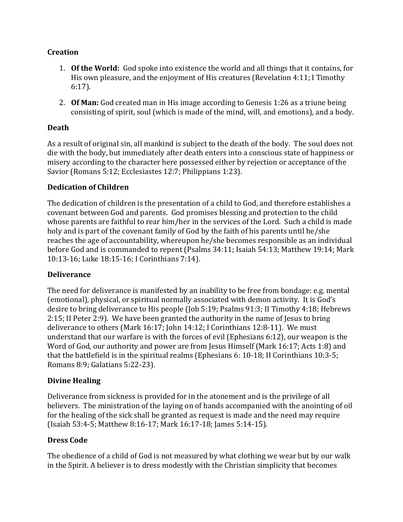### **Creation**

- 1. **Of the World:** God spoke into existence the world and all things that it contains, for His own pleasure, and the enjoyment of His creatures (Revelation 4:11; I Timothy 6:17).
- 2. **Of Man:** God created man in His image according to Genesis 1:26 as a triune being consisting of spirit, soul (which is made of the mind, will, and emotions), and a body.

#### **Death**

As a result of original sin, all mankind is subject to the death of the body. The soul does not die with the body, but immediately after death enters into a conscious state of happiness or misery according to the character here possessed either by rejection or acceptance of the Savior (Romans 5:12; Ecclesiastes 12:7; Philippians 1:23).

#### **Dedication of Children**

The dedication of children is the presentation of a child to God, and therefore establishes a covenant between God and parents. God promises blessing and protection to the child whose parents are faithful to rear him/her in the services of the Lord. Such a child is made holy and is part of the covenant family of God by the faith of his parents until he/she reaches the age of accountability, whereupon he/she becomes responsible as an individual before God and is commanded to repent (Psalms 34:11; Isaiah 54:13; Matthew 19:14; Mark 10:13-16; Luke 18:15-16; I Corinthians 7:14).

#### **Deliverance**

The need for deliverance is manifested by an inability to be free from bondage: e.g. mental (emotional), physical, or spiritual normally associated with demon activity. It is God's desire to bring deliverance to His people (Job 5:19; Psalms 91:3; II Timothy 4:18; Hebrews 2:15; II Peter 2:9). We have been granted the authority in the name of Jesus to bring deliverance to others (Mark 16:17; John 14:12; I Corinthians 12:8-11). We must understand that our warfare is with the forces of evil (Ephesians 6:12), our weapon is the Word of God, our authority and power are from Jesus Himself (Mark 16:17; Acts 1:8) and that the battlefield is in the spiritual realms (Ephesians 6: 10-18; II Corinthians 10:3-5; Romans 8:9; Galatians 5:22-23).

### **Divine Healing**

Deliverance from sickness is provided for in the atonement and is the privilege of all believers. The ministration of the laying on of hands accompanied with the anointing of oil for the healing of the sick shall be granted as request is made and the need may require (Isaiah 53:4-5; Matthew 8:16-17; Mark 16:17-18; James 5:14-15).

### **Dress Code**

The obedience of a child of God is not measured by what clothing we wear but by our walk in the Spirit. A believer is to dress modestly with the Christian simplicity that becomes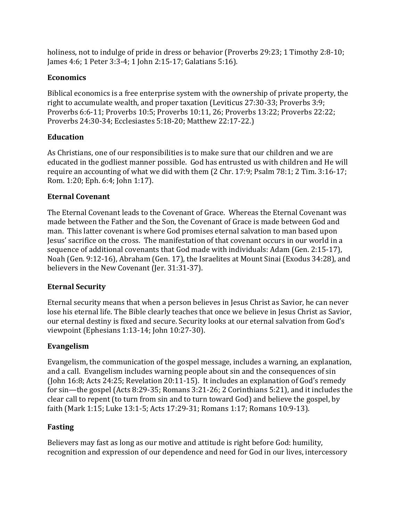holiness, not to indulge of pride in dress or behavior (Proverbs 29:23; 1 Timothy 2:8-10; James 4:6; 1 Peter 3:3-4; 1 John 2:15-17; Galatians 5:16).

### **Economics**

Biblical economics is a free enterprise system with the ownership of private property, the right to accumulate wealth, and proper taxation (Leviticus 27:30-33; Proverbs 3:9; Proverbs 6:6-11; Proverbs 10:5; Proverbs 10:11, 26; Proverbs 13:22; Proverbs 22:22; Proverbs 24:30-34; Ecclesiastes 5:18-20; Matthew 22:17-22.)

# **Education**

As Christians, one of our responsibilities is to make sure that our children and we are educated in the godliest manner possible. God has entrusted us with children and He will require an accounting of what we did with them (2 Chr. 17:9; Psalm 78:1; 2 Tim. 3:16‐17; Rom. 1:20; Eph. 6:4; John 1:17).

# **Eternal Covenant**

The Eternal Covenant leads to the Covenant of Grace. Whereas the Eternal Covenant was made between the Father and the Son, the Covenant of Grace is made between God and man. This latter covenant is where God promises eternal salvation to man based upon Jesus' sacrifice on the cross. The manifestation of that covenant occurs in our world in a sequence of additional covenants that God made with individuals: Adam (Gen. 2:15‐17), Noah (Gen. 9:12-16), Abraham (Gen. 17), the Israelites at Mount Sinai (Exodus 34:28), and believers in the New Covenant (Jer. 31:31-37).

# **Eternal Security**

Eternal security means that when a person believes in Jesus Christ as Savior, he can never lose his eternal life. The Bible clearly teaches that once we believe in Jesus Christ as Savior, our eternal destiny is fixed and secure. Security looks at our eternal salvation from God's viewpoint (Ephesians 1:13-14; John 10:27-30).

# **Evangelism**

Evangelism, the communication of the gospel message, includes a warning, an explanation, and a call. Evangelism includes warning people about sin and the consequences of sin (John 16:8; Acts 24:25; Revelation 20:11-15). It includes an explanation of God's remedy for sin—the gospel (Acts 8:29-35; Romans 3:21-26; 2 Corinthians 5:21), and it includes the clear call to repent (to turn from sin and to turn toward God) and believe the gospel, by faith (Mark 1:15; Luke 13:1‐5; Acts 17:29-31; Romans 1:17; Romans 10:9-13).

# **Fasting**

Believers may fast as long as our motive and attitude is right before God: humility, recognition and expression of our dependence and need for God in our lives, intercessory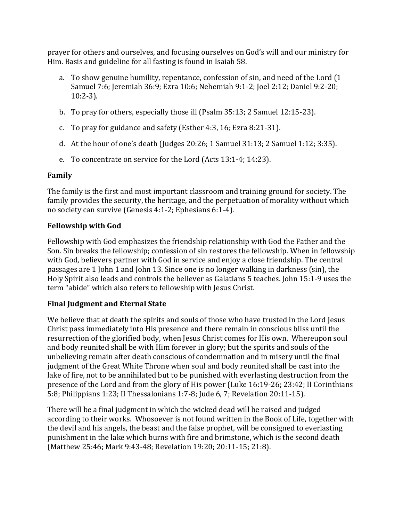prayer for others and ourselves, and focusing ourselves on God's will and our ministry for Him. Basis and guideline for all fasting is found in Isaiah 58.

- a. To show genuine humility, repentance, confession of sin, and need of the Lord (1 Samuel 7:6; Jeremiah 36:9; Ezra 10:6; Nehemiah 9:1-2; Joel 2:12; Daniel 9:2-20; 10:2-3).
- b. To pray for others, especially those ill (Psalm 35:13; 2 Samuel 12:15-23).
- c. To pray for guidance and safety (Esther 4:3, 16; Ezra 8:21-31).
- d. At the hour of one's death (Judges 20:26; 1 Samuel 31:13; 2 Samuel 1:12; 3:35).
- e. To concentrate on service for the Lord (Acts 13:1-4; 14:23).

### **Family**

The family is the first and most important classroom and training ground for society. The family provides the security, the heritage, and the perpetuation of morality without which no society can survive (Genesis 4:1-2; Ephesians 6:1-4).

### **Fellowship with God**

Fellowship with God emphasizes the friendship relationship with God the Father and the Son. Sin breaks the fellowship; confession of sin restores the fellowship. When in fellowship with God, believers partner with God in service and enjoy a close friendship. The central passages are 1 John 1 and John 13. Since one is no longer walking in darkness (sin), the Holy Spirit also leads and controls the believer as Galatians 5 teaches. John 15:1-9 uses the term "abide" which also refers to fellowship with Jesus Christ.

### **Final Judgment and Eternal State**

We believe that at death the spirits and souls of those who have trusted in the Lord Jesus Christ pass immediately into His presence and there remain in conscious bliss until the resurrection of the glorified body, when Jesus Christ comes for His own. Whereupon soul and body reunited shall be with Him forever in glory; but the spirits and souls of the unbelieving remain after death conscious of condemnation and in misery until the final judgment of the Great White Throne when soul and body reunited shall be cast into the lake of fire, not to be annihilated but to be punished with everlasting destruction from the presence of the Lord and from the glory of His power (Luke 16:19-26; 23:42; II Corinthians 5:8; Philippians 1:23; II Thessalonians 1:7-8; Jude 6, 7; Revelation 20:11-15).

There will be a final judgment in which the wicked dead will be raised and judged according to their works. Whosoever is not found written in the Book of Life, together with the devil and his angels, the beast and the false prophet, will be consigned to everlasting punishment in the lake which burns with fire and brimstone, which is the second death (Matthew 25:46; Mark 9:43-48; Revelation 19:20; 20:11-15; 21:8).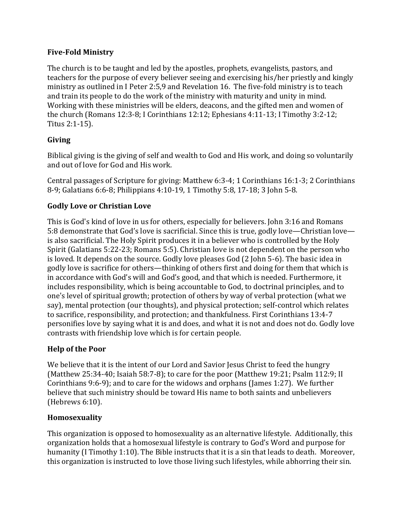### **Five-Fold Ministry**

The church is to be taught and led by the apostles, prophets, evangelists, pastors, and teachers for the purpose of every believer seeing and exercising his/her priestly and kingly ministry as outlined in I Peter 2:5,9 and Revelation 16. The five-fold ministry is to teach and train its people to do the work of the ministry with maturity and unity in mind. Working with these ministries will be elders, deacons, and the gifted men and women of the church (Romans 12:3-8; I Corinthians 12:12; Ephesians 4:11-13; I Timothy 3:2-12; Titus 2:1-15).

### **Giving**

Biblical giving is the giving of self and wealth to God and His work, and doing so voluntarily and out of love for God and His work.

Central passages of Scripture for giving: Matthew 6:3-4; 1 Corinthians 16:1-3; 2 Corinthians 8-9; Galatians 6:6-8; Philippians 4:10-19, 1 Timothy 5:8, 17-18; 3 John 5-8.

#### **Godly Love or Christian Love**

This is God's kind of love in us for others, especially for believers. John 3:16 and Romans 5:8 demonstrate that God's love is sacrificial. Since this is true, godly love—Christian love is also sacrificial. The Holy Spirit produces it in a believer who is controlled by the Holy Spirit (Galatians 5:22-23; Romans 5:5). Christian love is not dependent on the person who is loved. It depends on the source. Godly love pleases God (2 John 5-6). The basic idea in godly love is sacrifice for others—thinking of others first and doing for them that which is in accordance with God's will and God's good, and that which is needed. Furthermore, it includes responsibility, which is being accountable to God, to doctrinal principles, and to one's level of spiritual growth; protection of others by way of verbal protection (what we say), mental protection (our thoughts), and physical protection; self-control which relates to sacrifice, responsibility, and protection; and thankfulness. First Corinthians 13:4-7 personifies love by saying what it is and does, and what it is not and does not do. Godly love contrasts with friendship love which is for certain people.

#### **Help of the Poor**

We believe that it is the intent of our Lord and Savior Jesus Christ to feed the hungry (Matthew 25:34-40; Isaiah 58:7-8); to care for the poor (Matthew 19:21; Psalm 112:9; II Corinthians 9:6-9); and to care for the widows and orphans (James 1:27). We further believe that such ministry should be toward His name to both saints and unbelievers (Hebrews 6:10).

#### **Homosexuality**

This organization is opposed to homosexuality as an alternative lifestyle. Additionally, this organization holds that a homosexual lifestyle is contrary to God's Word and purpose for humanity (I Timothy 1:10). The Bible instructs that it is a sin that leads to death. Moreover, this organization is instructed to love those living such lifestyles, while abhorring their sin.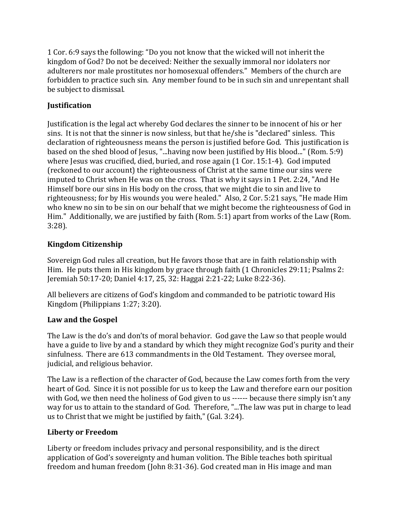1 Cor. 6:9 says the following: "Do you not know that the wicked will not inherit the kingdom of God? Do not be deceived: Neither the sexually immoral nor idolaters nor adulterers nor male prostitutes nor homosexual offenders." Members of the church are forbidden to practice such sin. Any member found to be in such sin and unrepentant shall be subject to dismissal.

# **Justification**

Justification is the legal act whereby God declares the sinner to be innocent of his or her sins. It is not that the sinner is now sinless, but that he/she is "declared" sinless. This declaration of righteousness means the person is justified before God. This justification is based on the shed blood of Jesus, "...having now been justified by His blood..." (Rom. 5:9) where Jesus was crucified, died, buried, and rose again (1 Cor. 15:1-4). God imputed (reckoned to our account) the righteousness of Christ at the same time our sins were imputed to Christ when He was on the cross. That is why it says in 1 Pet. 2:24, "And He Himself bore our sins in His body on the cross, that we might die to sin and live to righteousness; for by His wounds you were healed." Also, 2 Cor. 5:21 says, "He made Him who knew no sin to be sin on our behalf that we might become the righteousness of God in Him." Additionally, we are justified by faith (Rom. 5:1) apart from works of the Law (Rom. 3:28).

# **Kingdom Citizenship**

Sovereign God rules all creation, but He favors those that are in faith relationship with Him. He puts them in His kingdom by grace through faith (1 Chronicles 29:11; Psalms 2: Jeremiah 50:17-20; Daniel 4:17, 25, 32: Haggai 2:21-22; Luke 8:22-36).

All believers are citizens of God's kingdom and commanded to be patriotic toward His Kingdom (Philippians 1:27; 3:20).

### **Law and the Gospel**

The Law is the do's and don'ts of moral behavior. God gave the Law so that people would have a guide to live by and a standard by which they might recognize God's purity and their sinfulness. There are 613 commandments in the Old Testament. They oversee moral, judicial, and religious behavior.

The Law is a reflection of the character of God, because the Law comes forth from the very heart of God. Since it is not possible for us to keep the Law and therefore earn our position with God, we then need the holiness of God given to us ------ because there simply isn't any way for us to attain to the standard of God. Therefore, "...The law was put in charge to lead us to Christ that we might be justified by faith," (Gal. 3:24).

### **Liberty or Freedom**

Liberty or freedom includes privacy and personal responsibility, and is the direct application of God's sovereignty and human volition. The Bible teaches both spiritual freedom and human freedom (John 8:31-36). God created man in His image and man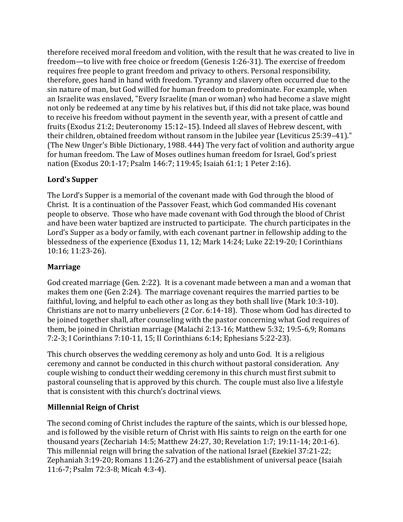therefore received moral freedom and volition, with the result that he was created to live in freedom—to live with free choice or freedom (Genesis 1:26-31). The exercise of freedom requires free people to grant freedom and privacy to others. Personal responsibility, therefore, goes hand in hand with freedom. Tyranny and slavery often occurred due to the sin nature of man, but God willed for human freedom to predominate. For example, when an Israelite was enslaved, "Every Israelite (man or woman) who had become a slave might not only be redeemed at any time by his relatives but, if this did not take place, was bound to receive his freedom without payment in the seventh year, with a present of cattle and fruits (Exodus 21:2; Deuteronomy 15:12–15). Indeed all slaves of Hebrew descent, with their children, obtained freedom without ransom in the Jubilee year (Leviticus 25:39–41)." (The New Unger's Bible Dictionary, 1988. 444) The very fact of volition and authority argue for human freedom. The Law of Moses outlines human freedom for Israel, God's priest nation (Exodus 20:1-17; Psalm 146:7; 119:45; Isaiah 61:1; 1 Peter 2:16).

# **Lord's Supper**

The Lord's Supper is a memorial of the covenant made with God through the blood of Christ. It is a continuation of the Passover Feast, which God commanded His covenant people to observe. Those who have made covenant with God through the blood of Christ and have been water baptized are instructed to participate. The church participates in the Lord's Supper as a body or family, with each covenant partner in fellowship adding to the blessedness of the experience (Exodus 11, 12; Mark 14:24; Luke 22:19-20; I Corinthians 10:16; 11:23-26).

### **Marriage**

God created marriage (Gen. 2:22). It is a covenant made between a man and a woman that makes them one (Gen 2:24). The marriage covenant requires the married parties to be faithful, loving, and helpful to each other as long as they both shall live (Mark 10:3-10). Christians are not to marry unbelievers (2 Cor. 6:14-18). Those whom God has directed to be joined together shall, after counseling with the pastor concerning what God requires of them, be joined in Christian marriage (Malachi 2:13-16; Matthew 5:32; 19:5-6,9; Romans 7:2-3; I Corinthians 7:10-11, 15; II Corinthians 6:14; Ephesians 5:22-23).

This church observes the wedding ceremony as holy and unto God. It is a religious ceremony and cannot be conducted in this church without pastoral consideration. Any couple wishing to conduct their wedding ceremony in this church must first submit to pastoral counseling that is approved by this church. The couple must also live a lifestyle that is consistent with this church's doctrinal views.

### **Millennial Reign of Christ**

The second coming of Christ includes the rapture of the saints, which is our blessed hope, and is followed by the visible return of Christ with His saints to reign on the earth for one thousand years (Zechariah 14:5; Matthew 24:27, 30; Revelation 1:7; 19:11-14; 20:1-6). This millennial reign will bring the salvation of the national Israel (Ezekiel 37:21-22; Zephaniah 3:19-20; Romans 11:26-27) and the establishment of universal peace (Isaiah 11:6-7; Psalm 72:3-8; Micah 4:3-4).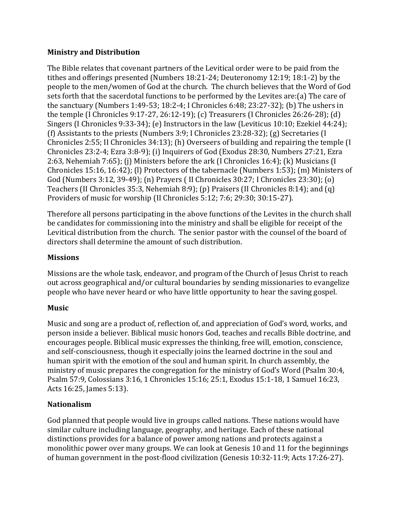### **Ministry and Distribution**

The Bible relates that covenant partners of the Levitical order were to be paid from the tithes and offerings presented (Numbers 18:21-24; Deuteronomy 12:19; 18:1-2) by the people to the men/women of God at the church. The church believes that the Word of God sets forth that the sacerdotal functions to be performed by the Levites are:(a) The care of the sanctuary (Numbers 1:49-53; 18:2-4; I Chronicles 6:48; 23:27-32); (b) The ushers in the temple (I Chronicles 9:17-27, 26:12-19); (c) Treasurers (I Chronicles 26:26-28); (d) Singers (I Chronicles 9:33-34); (e) Instructors in the law (Leviticus 10:10; Ezekiel 44:24); (f) Assistants to the priests (Numbers 3:9; I Chronicles 23:28-32); (g) Secretaries (I Chronicles 2:55; II Chronicles 34:13); (h) Overseers of building and repairing the temple (I Chronicles 23:2-4; Ezra 3:8-9); (i) Inquirers of God (Exodus 28:30, Numbers 27:21, Ezra 2:63, Nehemiah 7:65); (j) Ministers before the ark (I Chronicles 16:4); (k) Musicians (I Chronicles 15:16, 16:42); (l) Protectors of the tabernacle (Numbers 1:53); (m) Ministers of God (Numbers 3:12, 39-49); (n) Prayers ( II Chronicles 30:27; I Chronicles 23:30); (o) Teachers (II Chronicles 35:3, Nehemiah 8:9); (p) Praisers (II Chronicles 8:14); and (q) Providers of music for worship (II Chronicles 5:12; 7:6; 29:30; 30:15-27).

Therefore all persons participating in the above functions of the Levites in the church shall be candidates for commissioning into the ministry and shall be eligible for receipt of the Levitical distribution from the church. The senior pastor with the counsel of the board of directors shall determine the amount of such distribution.

#### **Missions**

Missions are the whole task, endeavor, and program of the Church of Jesus Christ to reach out across geographical and/or cultural boundaries by sending missionaries to evangelize people who have never heard or who have little opportunity to hear the saving gospel.

### **Music**

Music and song are a product of, reflection of, and appreciation of God's word, works, and person inside a believer. Biblical music honors God, teaches and recalls Bible doctrine, and encourages people. Biblical music expresses the thinking, free will, emotion, conscience, and self-consciousness, though it especially joins the learned doctrine in the soul and human spirit with the emotion of the soul and human spirit. In church assembly, the ministry of music prepares the congregation for the ministry of God's Word (Psalm 30:4, Psalm 57:9, Colossians 3:16, 1 Chronicles 15:16; 25:1, Exodus 15:1-18, 1 Samuel 16:23, Acts 16:25, James 5:13).

### **Nationalism**

God planned that people would live in groups called nations. These nations would have similar culture including language, geography, and heritage. Each of these national distinctions provides for a balance of power among nations and protects against a monolithic power over many groups. We can look at Genesis 10 and 11 for the beginnings of human government in the post-flood civilization (Genesis 10:32-11:9; Acts 17:26-27).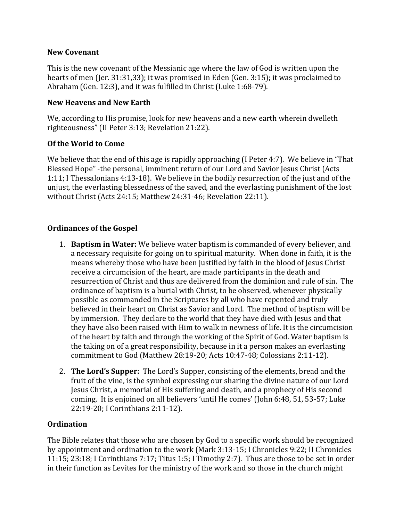#### **New Covenant**

This is the new covenant of the Messianic age where the law of God is written upon the hearts of men (Jer. 31:31,33); it was promised in Eden (Gen. 3:15); it was proclaimed to Abraham (Gen. 12:3), and it was fulfilled in Christ (Luke 1:68-79).

### **New Heavens and New Earth**

We, according to His promise, look for new heavens and a new earth wherein dwelleth righteousness" (II Peter 3:13; Revelation 21:22).

#### **Of the World to Come**

We believe that the end of this age is rapidly approaching (I Peter 4:7). We believe in "That Blessed Hope" -the personal, imminent return of our Lord and Savior Jesus Christ (Acts 1:11; I Thessalonians 4:13-18). We believe in the bodily resurrection of the just and of the unjust, the everlasting blessedness of the saved, and the everlasting punishment of the lost without Christ (Acts 24:15; Matthew 24:31-46; Revelation 22:11).

#### **Ordinances of the Gospel**

- 1. **Baptism in Water:** We believe water baptism is commanded of every believer, and a necessary requisite for going on to spiritual maturity. When done in faith, it is the means whereby those who have been justified by faith in the blood of Jesus Christ receive a circumcision of the heart, are made participants in the death and resurrection of Christ and thus are delivered from the dominion and rule of sin. The ordinance of baptism is a burial with Christ, to be observed, whenever physically possible as commanded in the Scriptures by all who have repented and truly believed in their heart on Christ as Savior and Lord. The method of baptism will be by immersion. They declare to the world that they have died with Jesus and that they have also been raised with Him to walk in newness of life. It is the circumcision of the heart by faith and through the working of the Spirit of God. Water baptism is the taking on of a great responsibility, because in it a person makes an everlasting commitment to God (Matthew 28:19-20; Acts 10:47-48; Colossians 2:11-12).
- 2. **The Lord's Supper:** The Lord's Supper, consisting of the elements, bread and the fruit of the vine, is the symbol expressing our sharing the divine nature of our Lord Jesus Christ, a memorial of His suffering and death, and a prophecy of His second coming. It is enjoined on all believers 'until He comes' (John 6:48, 51, 53-57; Luke 22:19-20; I Corinthians 2:11-12).

#### **Ordination**

The Bible relates that those who are chosen by God to a specific work should be recognized by appointment and ordination to the work (Mark 3:13-15; I Chronicles 9:22; II Chronicles 11:15; 23:18; I Corinthians 7:17; Titus 1:5; I Timothy 2:7). Thus are those to be set in order in their function as Levites for the ministry of the work and so those in the church might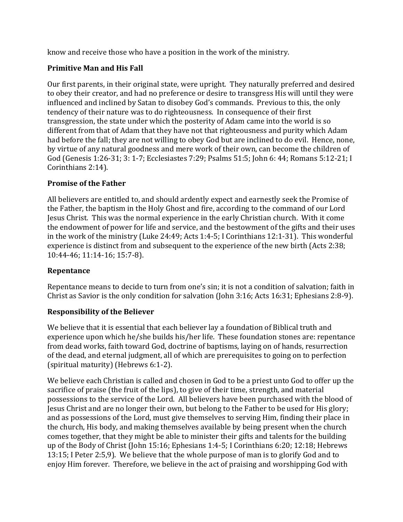know and receive those who have a position in the work of the ministry.

### **Primitive Man and His Fall**

Our first parents, in their original state, were upright. They naturally preferred and desired to obey their creator, and had no preference or desire to transgress His will until they were influenced and inclined by Satan to disobey God's commands. Previous to this, the only tendency of their nature was to do righteousness. In consequence of their first transgression, the state under which the posterity of Adam came into the world is so different from that of Adam that they have not that righteousness and purity which Adam had before the fall; they are not willing to obey God but are inclined to do evil. Hence, none, by virtue of any natural goodness and mere work of their own, can become the children of God (Genesis 1:26-31; 3: 1-7; Ecclesiastes 7:29; Psalms 51:5; John 6: 44; Romans 5:12-21; I Corinthians 2:14).

### **Promise of the Father**

All believers are entitled to, and should ardently expect and earnestly seek the Promise of the Father, the baptism in the Holy Ghost and fire, according to the command of our Lord Jesus Christ. This was the normal experience in the early Christian church. With it come the endowment of power for life and service, and the bestowment of the gifts and their uses in the work of the ministry (Luke 24:49; Acts 1:4-5; I Corinthians 12:1-31). This wonderful experience is distinct from and subsequent to the experience of the new birth (Acts 2:38; 10:44-46; 11:14-16; 15:7-8).

### **Repentance**

Repentance means to decide to turn from one's sin; it is not a condition of salvation; faith in Christ as Savior is the only condition for salvation (John 3:16; Acts 16:31; Ephesians 2:8-9).

# **Responsibility of the Believer**

We believe that it is essential that each believer lay a foundation of Biblical truth and experience upon which he/she builds his/her life. These foundation stones are: repentance from dead works, faith toward God, doctrine of baptisms, laying on of hands, resurrection of the dead, and eternal judgment, all of which are prerequisites to going on to perfection (spiritual maturity) (Hebrews 6:1-2).

We believe each Christian is called and chosen in God to be a priest unto God to offer up the sacrifice of praise (the fruit of the lips), to give of their time, strength, and material possessions to the service of the Lord. All believers have been purchased with the blood of Jesus Christ and are no longer their own, but belong to the Father to be used for His glory; and as possessions of the Lord, must give themselves to serving Him, finding their place in the church, His body, and making themselves available by being present when the church comes together, that they might be able to minister their gifts and talents for the building up of the Body of Christ (John 15:16; Ephesians 1:4-5; I Corinthians 6:20; 12:18; Hebrews 13:15; I Peter 2:5,9). We believe that the whole purpose of man is to glorify God and to enjoy Him forever. Therefore, we believe in the act of praising and worshipping God with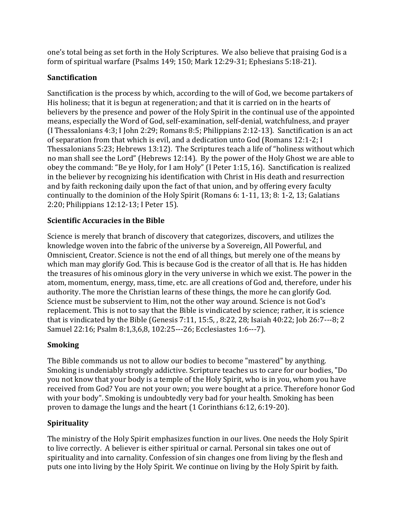one's total being as set forth in the Holy Scriptures. We also believe that praising God is a form of spiritual warfare (Psalms 149; 150; Mark 12:29-31; Ephesians 5:18-21).

# **Sanctification**

Sanctification is the process by which, according to the will of God, we become partakers of His holiness; that it is begun at regeneration; and that it is carried on in the hearts of believers by the presence and power of the Holy Spirit in the continual use of the appointed means, especially the Word of God, self-examination, self-denial, watchfulness, and prayer (I Thessalonians 4:3; I John 2:29; Romans 8:5; Philippians 2:12-13). Sanctification is an act of separation from that which is evil, and a dedication unto God (Romans 12:1-2; I Thessalonians 5:23; Hebrews 13:12). The Scriptures teach a life of "holiness without which no man shall see the Lord" (Hebrews 12:14). By the power of the Holy Ghost we are able to obey the command: "Be ye Holy, for I am Holy" (I Peter 1:15, 16). Sanctification is realized in the believer by recognizing his identification with Christ in His death and resurrection and by faith reckoning daily upon the fact of that union, and by offering every faculty continually to the dominion of the Holy Spirit (Romans 6: 1-11, 13; 8: 1-2, 13; Galatians 2:20; Philippians 12:12-13; I Peter 15).

# **Scientific Accuracies in the Bible**

Science is merely that branch of discovery that categorizes, discovers, and utilizes the knowledge woven into the fabric of the universe by a Sovereign, All Powerful, and Omniscient, Creator. Science is not the end of all things, but merely one of the means by which man may glorify God. This is because God is the creator of all that is. He has hidden the treasures of his ominous glory in the very universe in which we exist. The power in the atom, momentum, energy, mass, time, etc. are all creations of God and, therefore, under his authority. The more the Christian learns of these things, the more he can glorify God. Science must be subservient to Him, not the other way around. Science is not God's replacement. This is not to say that the Bible is vindicated by science; rather, it is science that is vindicated by the Bible (Genesis 7:11, 15:5, , 8:22, 28; Isaiah 40:22; Job 26:7-‐‐8; 2 Samuel 22:16; Psalm 8:1,3,6,8, 102:25-‐‐26; Ecclesiastes 1:6-‐‐7).

# **Smoking**

The Bible commands us not to allow our bodies to become "mastered" by anything. Smoking is undeniably strongly addictive. Scripture teaches us to care for our bodies, "Do you not know that your body is a temple of the Holy Spirit, who is in you, whom you have received from God? You are not your own; you were bought at a price. Therefore honor God with your body". Smoking is undoubtedly very bad for your health. Smoking has been proven to damage the lungs and the heart (1 Corinthians 6:12, 6:19-20).

# **Spirituality**

The ministry of the Holy Spirit emphasizes function in our lives. One needs the Holy Spirit to live correctly. A believer is either spiritual or carnal. Personal sin takes one out of spirituality and into carnality. Confession of sin changes one from living by the flesh and puts one into living by the Holy Spirit. We continue on living by the Holy Spirit by faith.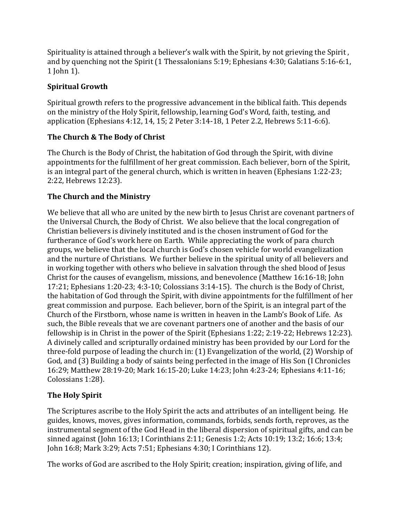Spirituality is attained through a believer's walk with the Spirit, by not grieving the Spirit , and by quenching not the Spirit (1 Thessalonians 5:19; Ephesians 4:30; Galatians 5:16-6:1, 1 John 1).

# **Spiritual Growth**

Spiritual growth refers to the progressive advancement in the biblical faith. This depends on the ministry of the Holy Spirit, fellowship, learning God's Word, faith, testing, and application (Ephesians 4:12, 14, 15; 2 Peter 3:14-18, 1 Peter 2.2, Hebrews 5:11-6:6).

# **The Church & The Body of Christ**

The Church is the Body of Christ, the habitation of God through the Spirit, with divine appointments for the fulfillment of her great commission. Each believer, born of the Spirit, is an integral part of the general church, which is written in heaven (Ephesians 1:22-23; 2:22, Hebrews 12:23).

# **The Church and the Ministry**

We believe that all who are united by the new birth to Jesus Christ are covenant partners of the Universal Church, the Body of Christ. We also believe that the local congregation of Christian believers is divinely instituted and is the chosen instrument of God for the furtherance of God's work here on Earth. While appreciating the work of para church groups, we believe that the local church is God's chosen vehicle for world evangelization and the nurture of Christians. We further believe in the spiritual unity of all believers and in working together with others who believe in salvation through the shed blood of Jesus Christ for the causes of evangelism, missions, and benevolence (Matthew 16:16-18; John 17:21; Ephesians 1:20-23; 4:3-10; Colossians 3:14-15). The church is the Body of Christ, the habitation of God through the Spirit, with divine appointments for the fulfillment of her great commission and purpose. Each believer, born of the Spirit, is an integral part of the Church of the Firstborn, whose name is written in heaven in the Lamb's Book of Life. As such, the Bible reveals that we are covenant partners one of another and the basis of our fellowship is in Christ in the power of the Spirit (Ephesians 1:22; 2:19-22; Hebrews 12:23). A divinely called and scripturally ordained ministry has been provided by our Lord for the three-fold purpose of leading the church in: (1) Evangelization of the world, (2) Worship of God, and (3) Building a body of saints being perfected in the image of His Son (I Chronicles 16:29; Matthew 28:19-20; Mark 16:15-20; Luke 14:23; John 4:23-24; Ephesians 4:11-16; Colossians 1:28).

# **The Holy Spirit**

The Scriptures ascribe to the Holy Spirit the acts and attributes of an intelligent being. He guides, knows, moves, gives information, commands, forbids, sends forth, reproves, as the instrumental segment of the God Head in the liberal dispersion of spiritual gifts, and can be sinned against (John 16:13; I Corinthians 2:11; Genesis 1:2; Acts 10:19; 13:2; 16:6; 13:4; John 16:8; Mark 3:29; Acts 7:51; Ephesians 4:30; I Corinthians 12).

The works of God are ascribed to the Holy Spirit; creation; inspiration, giving of life, and